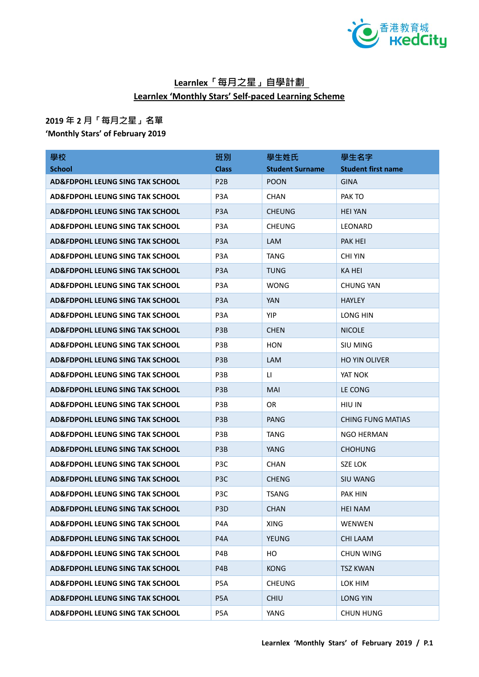

## **Learnlex「每月之星」自學計劃 Learnlex 'Monthly Stars' Self-paced Learning Scheme**

## **2019 年 2 月「每月之星」名單**

**'Monthly Stars' of February 2019**

| 學校                                         | 班別               | 學生姓氏                   | 學生名字                      |
|--------------------------------------------|------------------|------------------------|---------------------------|
| <b>School</b>                              | <b>Class</b>     | <b>Student Surname</b> | <b>Student first name</b> |
| AD&FDPOHL LEUNG SING TAK SCHOOL            | P <sub>2</sub> B | <b>POON</b>            | <b>GINA</b>               |
| <b>AD&amp;FDPOHL LEUNG SING TAK SCHOOL</b> | P <sub>3</sub> A | <b>CHAN</b>            | PAK TO                    |
| <b>AD&amp;FDPOHL LEUNG SING TAK SCHOOL</b> | P <sub>3</sub> A | <b>CHEUNG</b>          | <b>HEI YAN</b>            |
| <b>AD&amp;FDPOHL LEUNG SING TAK SCHOOL</b> | P <sub>3</sub> A | <b>CHEUNG</b>          | LEONARD                   |
| <b>AD&amp;FDPOHL LEUNG SING TAK SCHOOL</b> | P <sub>3</sub> A | <b>LAM</b>             | PAK HEI                   |
| <b>AD&amp;FDPOHL LEUNG SING TAK SCHOOL</b> | P <sub>3</sub> A | <b>TANG</b>            | <b>CHI YIN</b>            |
| <b>AD&amp;FDPOHL LEUNG SING TAK SCHOOL</b> | P <sub>3</sub> A | <b>TUNG</b>            | KA HEI                    |
| AD&FDPOHL LEUNG SING TAK SCHOOL            | P <sub>3</sub> A | <b>WONG</b>            | <b>CHUNG YAN</b>          |
| <b>AD&amp;FDPOHL LEUNG SING TAK SCHOOL</b> | P <sub>3</sub> A | <b>YAN</b>             | <b>HAYLEY</b>             |
| <b>AD&amp;FDPOHL LEUNG SING TAK SCHOOL</b> | P <sub>3</sub> A | <b>YIP</b>             | LONG HIN                  |
| <b>AD&amp;FDPOHL LEUNG SING TAK SCHOOL</b> | P <sub>3</sub> B | <b>CHEN</b>            | <b>NICOLE</b>             |
| <b>AD&amp;FDPOHL LEUNG SING TAK SCHOOL</b> | P3B              | HON                    | <b>SIU MING</b>           |
| <b>AD&amp;FDPOHL LEUNG SING TAK SCHOOL</b> | P <sub>3</sub> B | <b>LAM</b>             | <b>HO YIN OLIVER</b>      |
| <b>AD&amp;FDPOHL LEUNG SING TAK SCHOOL</b> | P3B              | LI.                    | YAT NOK                   |
| <b>AD&amp;FDPOHL LEUNG SING TAK SCHOOL</b> | P <sub>3</sub> B | <b>MAI</b>             | LE CONG                   |
| <b>AD&amp;FDPOHL LEUNG SING TAK SCHOOL</b> | P3B              | <b>OR</b>              | HIU IN                    |
| AD&FDPOHL LEUNG SING TAK SCHOOL            | P <sub>3</sub> B | <b>PANG</b>            | <b>CHING FUNG MATIAS</b>  |
| <b>AD&amp;FDPOHL LEUNG SING TAK SCHOOL</b> | P3B              | TANG                   | NGO HERMAN                |
| <b>AD&amp;FDPOHL LEUNG SING TAK SCHOOL</b> | P <sub>3</sub> B | YANG                   | <b>CHOHUNG</b>            |
| <b>AD&amp;FDPOHL LEUNG SING TAK SCHOOL</b> | P <sub>3</sub> C | <b>CHAN</b>            | SZE LOK                   |
| <b>AD&amp;FDPOHL LEUNG SING TAK SCHOOL</b> | P <sub>3</sub> C | <b>CHENG</b>           | <b>SIU WANG</b>           |
| <b>AD&amp;FDPOHL LEUNG SING TAK SCHOOL</b> | P <sub>3</sub> C | TSANG                  | PAK HIN                   |
| <b>AD&amp;FDPOHL LEUNG SING TAK SCHOOL</b> | P <sub>3</sub> D | <b>CHAN</b>            | <b>HEI NAM</b>            |
| AD&FDPOHL LEUNG SING TAK SCHOOL            | P4A              | <b>XING</b>            | WENWEN                    |
| AD&FDPOHL LEUNG SING TAK SCHOOL            | P4A              | <b>YEUNG</b>           | <b>CHI LAAM</b>           |
| <b>AD&amp;FDPOHL LEUNG SING TAK SCHOOL</b> | P4B              | HO                     | <b>CHUN WING</b>          |
| <b>AD&amp;FDPOHL LEUNG SING TAK SCHOOL</b> | P4B              | <b>KONG</b>            | <b>TSZ KWAN</b>           |
| AD&FDPOHL LEUNG SING TAK SCHOOL            | P5A              | <b>CHEUNG</b>          | LOK HIM                   |
| <b>AD&amp;FDPOHL LEUNG SING TAK SCHOOL</b> | P <sub>5</sub> A | <b>CHIU</b>            | <b>LONG YIN</b>           |
| AD&FDPOHL LEUNG SING TAK SCHOOL            | P5A              | YANG                   | <b>CHUN HUNG</b>          |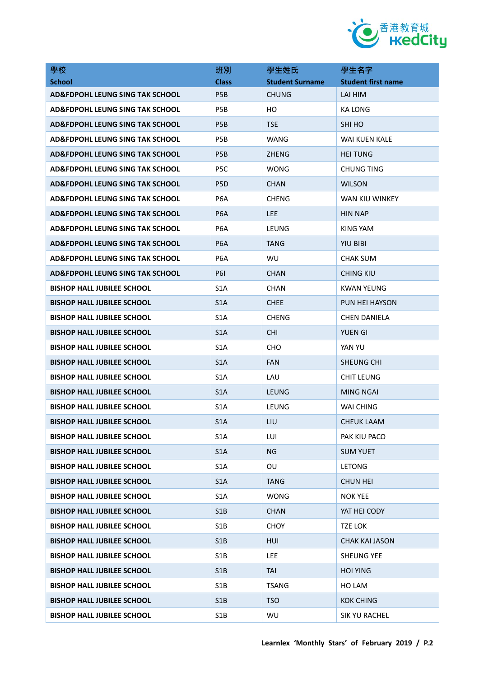

| 學校                                         | 班別               | 學生姓氏                   | 學生名字                      |
|--------------------------------------------|------------------|------------------------|---------------------------|
| <b>School</b>                              | <b>Class</b>     | <b>Student Surname</b> | <b>Student first name</b> |
| <b>AD&amp;FDPOHL LEUNG SING TAK SCHOOL</b> | P <sub>5</sub> B | <b>CHUNG</b>           | LAI HIM                   |
| <b>AD&amp;FDPOHL LEUNG SING TAK SCHOOL</b> | P <sub>5</sub> B | HО                     | <b>KA LONG</b>            |
| AD&FDPOHL LEUNG SING TAK SCHOOL            | P <sub>5</sub> B | <b>TSE</b>             | SHI HO                    |
| AD&FDPOHL LEUNG SING TAK SCHOOL            | P <sub>5</sub> B | WANG                   | WAI KUEN KALE             |
| <b>AD&amp;FDPOHL LEUNG SING TAK SCHOOL</b> | P <sub>5</sub> B | <b>ZHENG</b>           | <b>HEI TUNG</b>           |
| <b>AD&amp;FDPOHL LEUNG SING TAK SCHOOL</b> | P <sub>5</sub> C | WONG                   | <b>CHUNG TING</b>         |
| AD&FDPOHL LEUNG SING TAK SCHOOL            | P <sub>5</sub> D | <b>CHAN</b>            | <b>WILSON</b>             |
| AD&FDPOHL LEUNG SING TAK SCHOOL            | P <sub>6</sub> A | <b>CHENG</b>           | WAN KIU WINKEY            |
| AD&FDPOHL LEUNG SING TAK SCHOOL            | P <sub>6</sub> A | <b>LEE</b>             | <b>HIN NAP</b>            |
| <b>AD&amp;FDPOHL LEUNG SING TAK SCHOOL</b> | P <sub>6</sub> A | LEUNG                  | KING YAM                  |
| <b>AD&amp;FDPOHL LEUNG SING TAK SCHOOL</b> | P <sub>6</sub> A | TANG                   | <b>YIU BIBI</b>           |
| AD&FDPOHL LEUNG SING TAK SCHOOL            | P <sub>6</sub> A | WU                     | <b>CHAK SUM</b>           |
| AD&FDPOHL LEUNG SING TAK SCHOOL            | <b>P61</b>       | <b>CHAN</b>            | <b>CHING KIU</b>          |
| <b>BISHOP HALL JUBILEE SCHOOL</b>          | S <sub>1</sub> A | <b>CHAN</b>            | KWAN YEUNG                |
| <b>BISHOP HALL JUBILEE SCHOOL</b>          | S <sub>1</sub> A | <b>CHEE</b>            | PUN HEI HAYSON            |
| <b>BISHOP HALL JUBILEE SCHOOL</b>          | S <sub>1</sub> A | <b>CHENG</b>           | CHEN DANIELA              |
| <b>BISHOP HALL JUBILEE SCHOOL</b>          | S <sub>1</sub> A | <b>CHI</b>             | <b>YUEN GI</b>            |
| <b>BISHOP HALL JUBILEE SCHOOL</b>          | S <sub>1</sub> A | <b>CHO</b>             | YAN YU                    |
| <b>BISHOP HALL JUBILEE SCHOOL</b>          | S <sub>1</sub> A | <b>FAN</b>             | SHEUNG CHI                |
| <b>BISHOP HALL JUBILEE SCHOOL</b>          | S <sub>1</sub> A | LAU                    | <b>CHIT LEUNG</b>         |
| <b>BISHOP HALL JUBILEE SCHOOL</b>          | S <sub>1</sub> A | <b>LEUNG</b>           | MING NGAI                 |
| <b>BISHOP HALL JUBILEE SCHOOL</b>          | S <sub>1</sub> A | LEUNG                  | WAI CHING                 |
| <b>BISHOP HALL JUBILEE SCHOOL</b>          | S <sub>1</sub> A | LIU                    | <b>CHEUK LAAM</b>         |
| <b>BISHOP HALL JUBILEE SCHOOL</b>          | S <sub>1</sub> A | LUI                    | PAK KIU PACO              |
| <b>BISHOP HALL JUBILEE SCHOOL</b>          | S <sub>1</sub> A | <b>NG</b>              | <b>SUM YUET</b>           |
| <b>BISHOP HALL JUBILEE SCHOOL</b>          | S <sub>1</sub> A | OU                     | <b>LETONG</b>             |
| <b>BISHOP HALL JUBILEE SCHOOL</b>          | S <sub>1</sub> A | <b>TANG</b>            | <b>CHUN HEI</b>           |
| <b>BISHOP HALL JUBILEE SCHOOL</b>          | S <sub>1</sub> A | WONG                   | <b>NOK YEE</b>            |
| <b>BISHOP HALL JUBILEE SCHOOL</b>          | S1B              | <b>CHAN</b>            | YAT HEI CODY              |
| <b>BISHOP HALL JUBILEE SCHOOL</b>          | S <sub>1</sub> B | <b>CHOY</b>            | <b>TZE LOK</b>            |
| <b>BISHOP HALL JUBILEE SCHOOL</b>          | S <sub>1</sub> B | HUI                    | <b>CHAK KAI JASON</b>     |
| <b>BISHOP HALL JUBILEE SCHOOL</b>          | S <sub>1</sub> B | <b>LEE</b>             | <b>SHEUNG YEE</b>         |
| <b>BISHOP HALL JUBILEE SCHOOL</b>          | S <sub>1</sub> B | <b>TAI</b>             | <b>HOI YING</b>           |
| <b>BISHOP HALL JUBILEE SCHOOL</b>          | S1B              | <b>TSANG</b>           | HO LAM                    |
| <b>BISHOP HALL JUBILEE SCHOOL</b>          | S1B              | <b>TSO</b>             | <b>KOK CHING</b>          |
| <b>BISHOP HALL JUBILEE SCHOOL</b>          | S1B              | WU                     | SIK YU RACHEL             |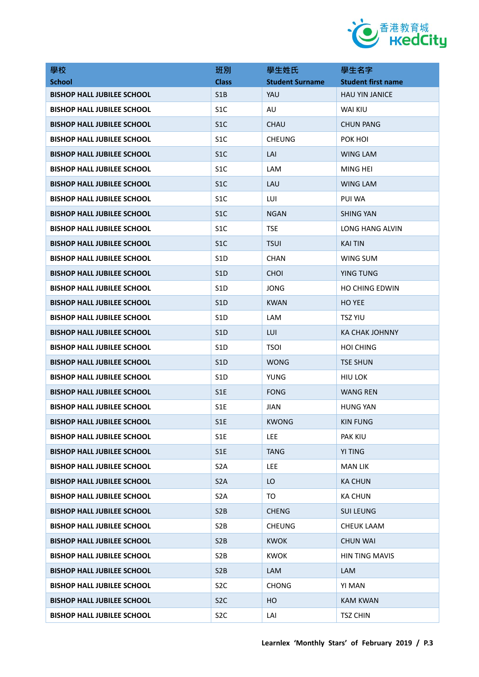

| 學校                                | 班別               | 學生姓氏                   | 學生名字                      |
|-----------------------------------|------------------|------------------------|---------------------------|
| <b>School</b>                     | <b>Class</b>     | <b>Student Surname</b> | <b>Student first name</b> |
| <b>BISHOP HALL JUBILEE SCHOOL</b> | S <sub>1</sub> B | YAU                    | <b>HAU YIN JANICE</b>     |
| <b>BISHOP HALL JUBILEE SCHOOL</b> | S <sub>1</sub> C | AU                     | <b>WAI KIU</b>            |
| <b>BISHOP HALL JUBILEE SCHOOL</b> | S <sub>1</sub> C | <b>CHAU</b>            | <b>CHUN PANG</b>          |
| <b>BISHOP HALL JUBILEE SCHOOL</b> | S <sub>1</sub> C | <b>CHEUNG</b>          | POK HOI                   |
| <b>BISHOP HALL JUBILEE SCHOOL</b> | S <sub>1</sub> C | LAI                    | <b>WING LAM</b>           |
| <b>BISHOP HALL JUBILEE SCHOOL</b> | S <sub>1</sub> C | <b>LAM</b>             | MING HEI                  |
| <b>BISHOP HALL JUBILEE SCHOOL</b> | S <sub>1</sub> C | LAU                    | WING LAM                  |
| <b>BISHOP HALL JUBILEE SCHOOL</b> | S <sub>1</sub> C | LUI                    | PUI WA                    |
| <b>BISHOP HALL JUBILEE SCHOOL</b> | S <sub>1</sub> C | <b>NGAN</b>            | <b>SHING YAN</b>          |
| <b>BISHOP HALL JUBILEE SCHOOL</b> | S <sub>1</sub> C | <b>TSE</b>             | LONG HANG ALVIN           |
| <b>BISHOP HALL JUBILEE SCHOOL</b> | S <sub>1</sub> C | <b>TSUI</b>            | <b>KAI TIN</b>            |
| <b>BISHOP HALL JUBILEE SCHOOL</b> | S <sub>1</sub> D | <b>CHAN</b>            | WING SUM                  |
| <b>BISHOP HALL JUBILEE SCHOOL</b> | S <sub>1</sub> D | <b>CHOI</b>            | <b>YING TUNG</b>          |
| <b>BISHOP HALL JUBILEE SCHOOL</b> | S <sub>1</sub> D | JONG                   | <b>HO CHING EDWIN</b>     |
| <b>BISHOP HALL JUBILEE SCHOOL</b> | S <sub>1</sub> D | <b>KWAN</b>            | <b>HO YEE</b>             |
| <b>BISHOP HALL JUBILEE SCHOOL</b> | S1D              | <b>LAM</b>             | <b>TSZ YIU</b>            |
| <b>BISHOP HALL JUBILEE SCHOOL</b> | S <sub>1</sub> D | LUI                    | <b>KA CHAK JOHNNY</b>     |
| <b>BISHOP HALL JUBILEE SCHOOL</b> | S <sub>1</sub> D | <b>TSOI</b>            | <b>HOI CHING</b>          |
| <b>BISHOP HALL JUBILEE SCHOOL</b> | S1D              | <b>WONG</b>            | <b>TSE SHUN</b>           |
| <b>BISHOP HALL JUBILEE SCHOOL</b> | S <sub>1</sub> D | YUNG                   | HIU LOK                   |
| <b>BISHOP HALL JUBILEE SCHOOL</b> | S <sub>1</sub> E | <b>FONG</b>            | <b>WANG REN</b>           |
| <b>BISHOP HALL JUBILEE SCHOOL</b> | S1E              | <b>JIAN</b>            | <b>HUNG YAN</b>           |
| <b>BISHOP HALL JUBILEE SCHOOL</b> | S1E              | <b>KWONG</b>           | <b>KIN FUNG</b>           |
| <b>BISHOP HALL JUBILEE SCHOOL</b> | S <sub>1</sub> E | LEE.                   | <b>PAK KIU</b>            |
| <b>BISHOP HALL JUBILEE SCHOOL</b> | S1E              | <b>TANG</b>            | <b>YI TING</b>            |
| <b>BISHOP HALL JUBILEE SCHOOL</b> | S <sub>2</sub> A | <b>LEE</b>             | <b>MAN LIK</b>            |
| <b>BISHOP HALL JUBILEE SCHOOL</b> | S <sub>2</sub> A | LO                     | <b>KA CHUN</b>            |
| <b>BISHOP HALL JUBILEE SCHOOL</b> | S <sub>2</sub> A | TO                     | <b>KA CHUN</b>            |
| <b>BISHOP HALL JUBILEE SCHOOL</b> | S <sub>2</sub> B | <b>CHENG</b>           | <b>SUI LEUNG</b>          |
| <b>BISHOP HALL JUBILEE SCHOOL</b> | S <sub>2</sub> B | <b>CHEUNG</b>          | <b>CHEUK LAAM</b>         |
| <b>BISHOP HALL JUBILEE SCHOOL</b> | S <sub>2</sub> B | <b>KWOK</b>            | <b>CHUN WAI</b>           |
| <b>BISHOP HALL JUBILEE SCHOOL</b> | S <sub>2</sub> B | <b>KWOK</b>            | HIN TING MAVIS            |
| <b>BISHOP HALL JUBILEE SCHOOL</b> | S <sub>2</sub> B | <b>LAM</b>             | LAM                       |
| <b>BISHOP HALL JUBILEE SCHOOL</b> | S <sub>2</sub> C | <b>CHONG</b>           | YI MAN                    |
| <b>BISHOP HALL JUBILEE SCHOOL</b> | S <sub>2</sub> C | HO                     | <b>KAM KWAN</b>           |
| <b>BISHOP HALL JUBILEE SCHOOL</b> | S <sub>2</sub> C | LAI                    | <b>TSZ CHIN</b>           |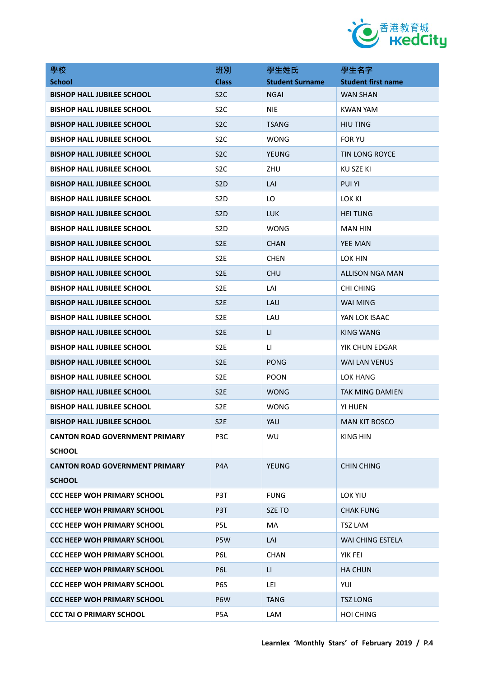

| 學校                                    | 班別               | 學生姓氏                   | 學生名字                      |
|---------------------------------------|------------------|------------------------|---------------------------|
| <b>School</b>                         | <b>Class</b>     | <b>Student Surname</b> | <b>Student first name</b> |
| <b>BISHOP HALL JUBILEE SCHOOL</b>     | S <sub>2</sub> C | <b>NGAI</b>            | <b>WAN SHAN</b>           |
| <b>BISHOP HALL JUBILEE SCHOOL</b>     | S <sub>2</sub> C | <b>NIE</b>             | <b>KWAN YAM</b>           |
| <b>BISHOP HALL JUBILEE SCHOOL</b>     | S <sub>2</sub> C | <b>TSANG</b>           | <b>HIU TING</b>           |
| <b>BISHOP HALL JUBILEE SCHOOL</b>     | S <sub>2</sub> C | <b>WONG</b>            | <b>FOR YU</b>             |
| <b>BISHOP HALL JUBILEE SCHOOL</b>     | S <sub>2</sub> C | <b>YEUNG</b>           | <b>TIN LONG ROYCE</b>     |
| <b>BISHOP HALL JUBILEE SCHOOL</b>     | S <sub>2</sub> C | ZHU                    | KU SZE KI                 |
| <b>BISHOP HALL JUBILEE SCHOOL</b>     | S <sub>2</sub> D | LAI                    | <b>PUI YI</b>             |
| <b>BISHOP HALL JUBILEE SCHOOL</b>     | S <sub>2</sub> D | LO                     | <b>LOK KI</b>             |
| <b>BISHOP HALL JUBILEE SCHOOL</b>     | S <sub>2</sub> D | <b>LUK</b>             | <b>HEI TUNG</b>           |
| <b>BISHOP HALL JUBILEE SCHOOL</b>     | S <sub>2</sub> D | <b>WONG</b>            | <b>MAN HIN</b>            |
| <b>BISHOP HALL JUBILEE SCHOOL</b>     | S <sub>2E</sub>  | <b>CHAN</b>            | <b>YEE MAN</b>            |
| <b>BISHOP HALL JUBILEE SCHOOL</b>     | S <sub>2E</sub>  | <b>CHEN</b>            | LOK HIN                   |
| <b>BISHOP HALL JUBILEE SCHOOL</b>     | S <sub>2E</sub>  | <b>CHU</b>             | <b>ALLISON NGA MAN</b>    |
| <b>BISHOP HALL JUBILEE SCHOOL</b>     | S <sub>2</sub> E | LAI                    | <b>CHI CHING</b>          |
| <b>BISHOP HALL JUBILEE SCHOOL</b>     | S <sub>2</sub> E | LAU                    | <b>WAI MING</b>           |
| <b>BISHOP HALL JUBILEE SCHOOL</b>     | S <sub>2E</sub>  | LAU                    | YAN LOK ISAAC             |
| <b>BISHOP HALL JUBILEE SCHOOL</b>     | S <sub>2</sub> E | $\mathsf{L}\mathsf{L}$ | <b>KING WANG</b>          |
| <b>BISHOP HALL JUBILEE SCHOOL</b>     | S <sub>2E</sub>  | LI.                    | YIK CHUN EDGAR            |
| <b>BISHOP HALL JUBILEE SCHOOL</b>     | S <sub>2E</sub>  | <b>PONG</b>            | <b>WAI LAN VENUS</b>      |
| <b>BISHOP HALL JUBILEE SCHOOL</b>     | S <sub>2</sub> E | <b>POON</b>            | LOK HANG                  |
| <b>BISHOP HALL JUBILEE SCHOOL</b>     | S <sub>2</sub> E | <b>WONG</b>            | <b>TAK MING DAMIEN</b>    |
| <b>BISHOP HALL JUBILEE SCHOOL</b>     | S <sub>2E</sub>  | <b>WONG</b>            | YI HUEN                   |
| <b>BISHOP HALL JUBILEE SCHOOL</b>     | S <sub>2</sub> E | YAU                    | <b>MAN KIT BOSCO</b>      |
| <b>CANTON ROAD GOVERNMENT PRIMARY</b> | P <sub>3</sub> C | WU                     | KING HIN                  |
| <b>SCHOOL</b>                         |                  |                        |                           |
| <b>CANTON ROAD GOVERNMENT PRIMARY</b> | P <sub>4</sub> A | <b>YEUNG</b>           | <b>CHIN CHING</b>         |
| <b>SCHOOL</b>                         |                  |                        |                           |
| <b>CCC HEEP WOH PRIMARY SCHOOL</b>    | P3T              | <b>FUNG</b>            | LOK YIU                   |
| <b>CCC HEEP WOH PRIMARY SCHOOL</b>    | P3T              | SZE TO                 | <b>CHAK FUNG</b>          |
| <b>CCC HEEP WOH PRIMARY SCHOOL</b>    | P5L              | MA                     | <b>TSZ LAM</b>            |
| <b>CCC HEEP WOH PRIMARY SCHOOL</b>    | P5W              | LAI                    | WAI CHING ESTELA          |
| <b>CCC HEEP WOH PRIMARY SCHOOL</b>    | P6L              | <b>CHAN</b>            | YIK FEI                   |
| <b>CCC HEEP WOH PRIMARY SCHOOL</b>    | P6L              | П                      | <b>HA CHUN</b>            |
| <b>CCC HEEP WOH PRIMARY SCHOOL</b>    | P6S              | LEI                    | YUI                       |
| <b>CCC HEEP WOH PRIMARY SCHOOL</b>    | P <sub>6</sub> W | <b>TANG</b>            | <b>TSZ LONG</b>           |
| <b>CCC TAI O PRIMARY SCHOOL</b>       | P5A              | LAM                    | <b>HOI CHING</b>          |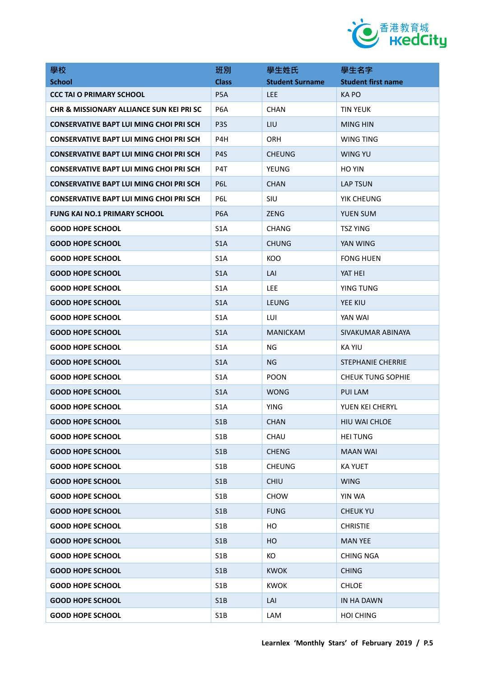

| 學校                                             | 班別               | 學生姓氏                   | 學生名字                      |
|------------------------------------------------|------------------|------------------------|---------------------------|
| <b>School</b>                                  | <b>Class</b>     | <b>Student Surname</b> | <b>Student first name</b> |
| <b>CCC TAI O PRIMARY SCHOOL</b>                | P <sub>5</sub> A | <b>LEE</b>             | <b>KAPO</b>               |
| CHR & MISSIONARY ALLIANCE SUN KEI PRI SC       | P <sub>6</sub> A | <b>CHAN</b>            | <b>TIN YEUK</b>           |
| <b>CONSERVATIVE BAPT LUI MING CHOI PRI SCH</b> | P <sub>3</sub> S | LIU                    | <b>MING HIN</b>           |
| <b>CONSERVATIVE BAPT LUI MING CHOI PRI SCH</b> | P4H              | <b>ORH</b>             | WING TING                 |
| <b>CONSERVATIVE BAPT LUI MING CHOI PRI SCH</b> | P4S              | <b>CHEUNG</b>          | WING YU                   |
| <b>CONSERVATIVE BAPT LUI MING CHOI PRI SCH</b> | P4T              | YEUNG                  | HO YIN                    |
| <b>CONSERVATIVE BAPT LUI MING CHOI PRI SCH</b> | P <sub>6</sub> L | <b>CHAN</b>            | LAP TSUN                  |
| <b>CONSERVATIVE BAPT LUI MING CHOI PRI SCH</b> | P6L              | SIU                    | YIK CHEUNG                |
| <b>FUNG KAI NO.1 PRIMARY SCHOOL</b>            | P <sub>6</sub> A | <b>ZENG</b>            | <b>YUEN SUM</b>           |
| <b>GOOD HOPE SCHOOL</b>                        | S <sub>1</sub> A | <b>CHANG</b>           | <b>TSZ YING</b>           |
| <b>GOOD HOPE SCHOOL</b>                        | S <sub>1</sub> A | <b>CHUNG</b>           | YAN WING                  |
| <b>GOOD HOPE SCHOOL</b>                        | S <sub>1</sub> A | KOO                    | <b>FONG HUEN</b>          |
| <b>GOOD HOPE SCHOOL</b>                        | S <sub>1</sub> A | LAI                    | YAT HEI                   |
| <b>GOOD HOPE SCHOOL</b>                        | S <sub>1</sub> A | LEE                    | YING TUNG                 |
| <b>GOOD HOPE SCHOOL</b>                        | S <sub>1</sub> A | <b>LEUNG</b>           | YEE KIU                   |
| <b>GOOD HOPE SCHOOL</b>                        | S <sub>1</sub> A | LUI                    | YAN WAI                   |
| <b>GOOD HOPE SCHOOL</b>                        | S <sub>1</sub> A | <b>MANICKAM</b>        | SIVAKUMAR ABINAYA         |
| <b>GOOD HOPE SCHOOL</b>                        | S <sub>1</sub> A | ΝG                     | KA YIU                    |
| <b>GOOD HOPE SCHOOL</b>                        | S <sub>1</sub> A | ΝG                     | <b>STEPHANIE CHERRIE</b>  |
| <b>GOOD HOPE SCHOOL</b>                        | S <sub>1</sub> A | <b>POON</b>            | <b>CHEUK TUNG SOPHIE</b>  |
| <b>GOOD HOPE SCHOOL</b>                        | S <sub>1</sub> A | <b>WONG</b>            | PUI LAM                   |
| <b>GOOD HOPE SCHOOL</b>                        | S <sub>1</sub> A | YING                   | YUEN KEI CHERYL           |
| <b>GOOD HOPE SCHOOL</b>                        | S1B              | <b>CHAN</b>            | HIU WAI CHLOE             |
| <b>GOOD HOPE SCHOOL</b>                        | S <sub>1</sub> B | CHAU                   | <b>HEI TUNG</b>           |
| <b>GOOD HOPE SCHOOL</b>                        | S1B              | <b>CHENG</b>           | <b>MAAN WAI</b>           |
| <b>GOOD HOPE SCHOOL</b>                        | S <sub>1</sub> B | <b>CHEUNG</b>          | <b>KA YUET</b>            |
| <b>GOOD HOPE SCHOOL</b>                        | S1B              | <b>CHIU</b>            | <b>WING</b>               |
| <b>GOOD HOPE SCHOOL</b>                        | S <sub>1</sub> B | <b>CHOW</b>            | YIN WA                    |
| <b>GOOD HOPE SCHOOL</b>                        | S1B              | <b>FUNG</b>            | <b>CHEUK YU</b>           |
| <b>GOOD HOPE SCHOOL</b>                        | S <sub>1</sub> B | HO                     | <b>CHRISTIE</b>           |
| <b>GOOD HOPE SCHOOL</b>                        | S1B              | HO                     | <b>MAN YEE</b>            |
| <b>GOOD HOPE SCHOOL</b>                        | S1B              | КO                     | <b>CHING NGA</b>          |
| <b>GOOD HOPE SCHOOL</b>                        | S1B              | <b>KWOK</b>            | <b>CHING</b>              |
| <b>GOOD HOPE SCHOOL</b>                        | S1B              | <b>KWOK</b>            | <b>CHLOE</b>              |
| <b>GOOD HOPE SCHOOL</b>                        | S1B              | LAI                    | IN HA DAWN                |
| <b>GOOD HOPE SCHOOL</b>                        | S1B              | LAM                    | <b>HOI CHING</b>          |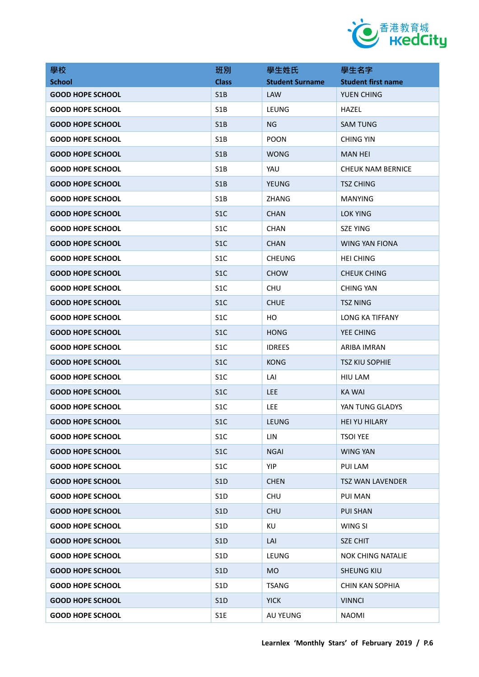

| 學校                      | 班別               | 學生姓氏                   | 學生名字                      |
|-------------------------|------------------|------------------------|---------------------------|
| <b>School</b>           | <b>Class</b>     | <b>Student Surname</b> | <b>Student first name</b> |
| <b>GOOD HOPE SCHOOL</b> | S <sub>1</sub> B | <b>LAW</b>             | YUEN CHING                |
| <b>GOOD HOPE SCHOOL</b> | S <sub>1</sub> B | LEUNG                  | HAZEL                     |
| <b>GOOD HOPE SCHOOL</b> | S <sub>1</sub> B | <b>NG</b>              | <b>SAM TUNG</b>           |
| <b>GOOD HOPE SCHOOL</b> | S <sub>1</sub> B | <b>POON</b>            | <b>CHING YIN</b>          |
| <b>GOOD HOPE SCHOOL</b> | S <sub>1</sub> B | <b>WONG</b>            | <b>MAN HEI</b>            |
| <b>GOOD HOPE SCHOOL</b> | S <sub>1</sub> B | YAU                    | <b>CHEUK NAM BERNICE</b>  |
| <b>GOOD HOPE SCHOOL</b> | S <sub>1</sub> B | <b>YEUNG</b>           | <b>TSZ CHING</b>          |
| <b>GOOD HOPE SCHOOL</b> | S <sub>1</sub> B | ZHANG                  | MANYING                   |
| <b>GOOD HOPE SCHOOL</b> | S <sub>1</sub> C | <b>CHAN</b>            | <b>LOK YING</b>           |
| <b>GOOD HOPE SCHOOL</b> | S <sub>1</sub> C | <b>CHAN</b>            | <b>SZE YING</b>           |
| <b>GOOD HOPE SCHOOL</b> | S <sub>1</sub> C | <b>CHAN</b>            | <b>WING YAN FIONA</b>     |
| <b>GOOD HOPE SCHOOL</b> | S <sub>1</sub> C | <b>CHEUNG</b>          | <b>HEI CHING</b>          |
| <b>GOOD HOPE SCHOOL</b> | S <sub>1</sub> C | <b>CHOW</b>            | <b>CHEUK CHING</b>        |
| <b>GOOD HOPE SCHOOL</b> | S <sub>1</sub> C | <b>CHU</b>             | <b>CHING YAN</b>          |
| <b>GOOD HOPE SCHOOL</b> | S <sub>1</sub> C | <b>CHUE</b>            | <b>TSZ NING</b>           |
| <b>GOOD HOPE SCHOOL</b> | S <sub>1</sub> C | HO                     | LONG KA TIFFANY           |
| <b>GOOD HOPE SCHOOL</b> | S <sub>1</sub> C | <b>HONG</b>            | YEE CHING                 |
| <b>GOOD HOPE SCHOOL</b> | S <sub>1</sub> C | <b>IDREES</b>          | ARIBA IMRAN               |
| <b>GOOD HOPE SCHOOL</b> | S <sub>1</sub> C | <b>KONG</b>            | <b>TSZ KIU SOPHIE</b>     |
| <b>GOOD HOPE SCHOOL</b> | S <sub>1</sub> C | LAI                    | HIU LAM                   |
| <b>GOOD HOPE SCHOOL</b> | S <sub>1</sub> C | <b>LEE</b>             | <b>KA WAI</b>             |
| <b>GOOD HOPE SCHOOL</b> | S <sub>1</sub> C | <b>LEE</b>             | YAN TUNG GLADYS           |
| <b>GOOD HOPE SCHOOL</b> | S <sub>1</sub> C | LEUNG                  | HEI YU HILARY             |
| <b>GOOD HOPE SCHOOL</b> | S <sub>1</sub> C | <b>LIN</b>             | <b>TSOI YEE</b>           |
| <b>GOOD HOPE SCHOOL</b> | S <sub>1</sub> C | <b>NGAI</b>            | <b>WING YAN</b>           |
| <b>GOOD HOPE SCHOOL</b> | S <sub>1</sub> C | <b>YIP</b>             | <b>PUI LAM</b>            |
| <b>GOOD HOPE SCHOOL</b> | S1D              | <b>CHEN</b>            | <b>TSZ WAN LAVENDER</b>   |
| <b>GOOD HOPE SCHOOL</b> | S <sub>1</sub> D | <b>CHU</b>             | PUI MAN                   |
| <b>GOOD HOPE SCHOOL</b> | S1D              | <b>CHU</b>             | <b>PUI SHAN</b>           |
| <b>GOOD HOPE SCHOOL</b> | S <sub>1</sub> D | KU                     | WING SI                   |
| <b>GOOD HOPE SCHOOL</b> | S <sub>1</sub> D | LAI                    | <b>SZE CHIT</b>           |
| <b>GOOD HOPE SCHOOL</b> | S <sub>1</sub> D | LEUNG                  | <b>NOK CHING NATALIE</b>  |
| <b>GOOD HOPE SCHOOL</b> | S <sub>1</sub> D | <b>MO</b>              | <b>SHEUNG KIU</b>         |
| <b>GOOD HOPE SCHOOL</b> | S1D              | <b>TSANG</b>           | CHIN KAN SOPHIA           |
| <b>GOOD HOPE SCHOOL</b> | S1D              | <b>YICK</b>            | <b>VINNCI</b>             |
| <b>GOOD HOPE SCHOOL</b> | S1E              | AU YEUNG               | <b>NAOMI</b>              |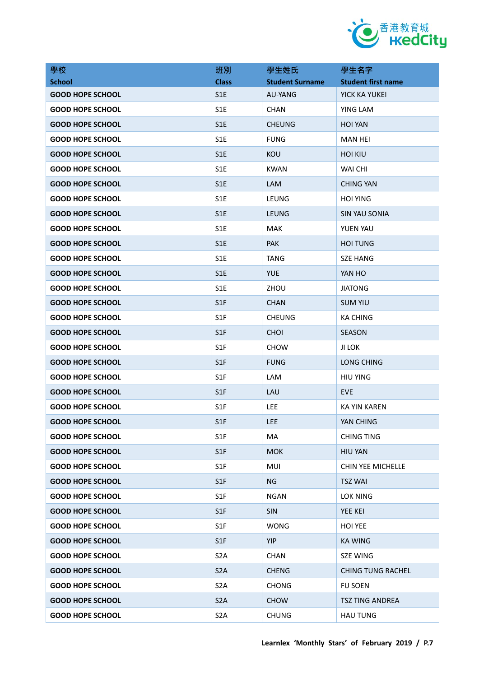

| 學校                      | 班別               | 學生姓氏                   | 學生名字                      |
|-------------------------|------------------|------------------------|---------------------------|
| <b>School</b>           | <b>Class</b>     | <b>Student Surname</b> | <b>Student first name</b> |
| <b>GOOD HOPE SCHOOL</b> | S1E              | AU-YANG                | YICK KA YUKEI             |
| <b>GOOD HOPE SCHOOL</b> | S <sub>1</sub> E | <b>CHAN</b>            | YING LAM                  |
| <b>GOOD HOPE SCHOOL</b> | S <sub>1</sub> E | <b>CHEUNG</b>          | <b>HOI YAN</b>            |
| <b>GOOD HOPE SCHOOL</b> | S1E              | <b>FUNG</b>            | <b>MAN HEI</b>            |
| <b>GOOD HOPE SCHOOL</b> | S <sub>1</sub> E | KOU                    | <b>HOI KIU</b>            |
| <b>GOOD HOPE SCHOOL</b> | S1E              | <b>KWAN</b>            | <b>WAI CHI</b>            |
| <b>GOOD HOPE SCHOOL</b> | S <sub>1</sub> E | <b>LAM</b>             | <b>CHING YAN</b>          |
| <b>GOOD HOPE SCHOOL</b> | S <sub>1</sub> E | LEUNG                  | <b>HOI YING</b>           |
| <b>GOOD HOPE SCHOOL</b> | S <sub>1</sub> E | <b>LEUNG</b>           | <b>SIN YAU SONIA</b>      |
| <b>GOOD HOPE SCHOOL</b> | S <sub>1</sub> E | MAK                    | YUEN YAU                  |
| <b>GOOD HOPE SCHOOL</b> | S1E              | <b>PAK</b>             | <b>HOI TUNG</b>           |
| <b>GOOD HOPE SCHOOL</b> | S <sub>1</sub> E | TANG                   | <b>SZE HANG</b>           |
| <b>GOOD HOPE SCHOOL</b> | S1E              | <b>YUE</b>             | YAN HO                    |
| <b>GOOD HOPE SCHOOL</b> | S <sub>1</sub> E | ZHOU                   | <b>JIATONG</b>            |
| <b>GOOD HOPE SCHOOL</b> | S <sub>1</sub> F | <b>CHAN</b>            | <b>SUM YIU</b>            |
| <b>GOOD HOPE SCHOOL</b> | S <sub>1F</sub>  | <b>CHEUNG</b>          | <b>KA CHING</b>           |
| <b>GOOD HOPE SCHOOL</b> | S <sub>1</sub> F | <b>CHOI</b>            | <b>SEASON</b>             |
| <b>GOOD HOPE SCHOOL</b> | S <sub>1F</sub>  | <b>CHOW</b>            | JI LOK                    |
| <b>GOOD HOPE SCHOOL</b> | S <sub>1F</sub>  | <b>FUNG</b>            | LONG CHING                |
| <b>GOOD HOPE SCHOOL</b> | S <sub>1</sub> F | LAM                    | <b>HIU YING</b>           |
| <b>GOOD HOPE SCHOOL</b> | S <sub>1</sub> F | LAU                    | <b>EVE</b>                |
| <b>GOOD HOPE SCHOOL</b> | S <sub>1</sub> F | LEE.                   | KA YIN KAREN              |
| <b>GOOD HOPE SCHOOL</b> | S <sub>1</sub> F | <b>LEE</b>             | YAN CHING                 |
| <b>GOOD HOPE SCHOOL</b> | S <sub>1</sub> F | MA                     | <b>CHING TING</b>         |
| <b>GOOD HOPE SCHOOL</b> | S1F              | <b>MOK</b>             | <b>HIU YAN</b>            |
| <b>GOOD HOPE SCHOOL</b> | S <sub>1</sub> F | MUI                    | CHIN YEE MICHELLE         |
| <b>GOOD HOPE SCHOOL</b> | S1F              | NG                     | <b>TSZ WAI</b>            |
| <b>GOOD HOPE SCHOOL</b> | S1F              | <b>NGAN</b>            | LOK NING                  |
| <b>GOOD HOPE SCHOOL</b> | S1F              | <b>SIN</b>             | YEE KEI                   |
| <b>GOOD HOPE SCHOOL</b> | S1F              | <b>WONG</b>            | <b>HOI YEE</b>            |
| <b>GOOD HOPE SCHOOL</b> | S <sub>1</sub> F | <b>YIP</b>             | <b>KA WING</b>            |
| <b>GOOD HOPE SCHOOL</b> | S <sub>2</sub> A | <b>CHAN</b>            | SZE WING                  |
| <b>GOOD HOPE SCHOOL</b> | S <sub>2</sub> A | <b>CHENG</b>           | <b>CHING TUNG RACHEL</b>  |
| <b>GOOD HOPE SCHOOL</b> | S <sub>2</sub> A | <b>CHONG</b>           | <b>FU SOEN</b>            |
| <b>GOOD HOPE SCHOOL</b> | S <sub>2</sub> A | <b>CHOW</b>            | <b>TSZ TING ANDREA</b>    |
| <b>GOOD HOPE SCHOOL</b> | S <sub>2</sub> A | <b>CHUNG</b>           | <b>HAU TUNG</b>           |
|                         |                  |                        |                           |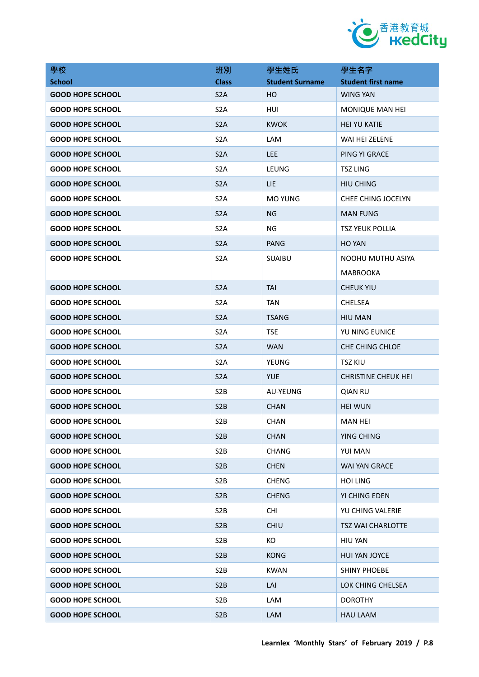

| 學校                      | 班別               | 學生姓氏                   | 學生名字                       |
|-------------------------|------------------|------------------------|----------------------------|
| <b>School</b>           | <b>Class</b>     | <b>Student Surname</b> | <b>Student first name</b>  |
| <b>GOOD HOPE SCHOOL</b> | S <sub>2</sub> A | HO                     | <b>WING YAN</b>            |
| <b>GOOD HOPE SCHOOL</b> | S <sub>2</sub> A | HUI                    | MONIQUE MAN HEI            |
| <b>GOOD HOPE SCHOOL</b> | S <sub>2</sub> A | <b>KWOK</b>            | <b>HEI YU KATIE</b>        |
| <b>GOOD HOPE SCHOOL</b> | S <sub>2</sub> A | LAM                    | WAI HEI ZELENE             |
| <b>GOOD HOPE SCHOOL</b> | S <sub>2</sub> A | LEE.                   | PING YI GRACE              |
| <b>GOOD HOPE SCHOOL</b> | S <sub>2</sub> A | LEUNG                  | <b>TSZ LING</b>            |
| <b>GOOD HOPE SCHOOL</b> | S <sub>2</sub> A | <b>LIE</b>             | <b>HIU CHING</b>           |
| <b>GOOD HOPE SCHOOL</b> | S <sub>2</sub> A | <b>MO YUNG</b>         | CHEE CHING JOCELYN         |
| <b>GOOD HOPE SCHOOL</b> | S <sub>2</sub> A | ΝG                     | <b>MAN FUNG</b>            |
| <b>GOOD HOPE SCHOOL</b> | S <sub>2</sub> A | <b>NG</b>              | <b>TSZ YEUK POLLIA</b>     |
| <b>GOOD HOPE SCHOOL</b> | S <sub>2</sub> A | <b>PANG</b>            | HO YAN                     |
| <b>GOOD HOPE SCHOOL</b> | S <sub>2</sub> A | <b>SUAIBU</b>          | NOOHU MUTHU ASIYA          |
|                         |                  |                        | <b>MABROOKA</b>            |
| <b>GOOD HOPE SCHOOL</b> | S <sub>2</sub> A | <b>TAI</b>             | <b>CHEUK YIU</b>           |
| <b>GOOD HOPE SCHOOL</b> | S <sub>2</sub> A | <b>TAN</b>             | <b>CHELSEA</b>             |
| <b>GOOD HOPE SCHOOL</b> | S <sub>2</sub> A | <b>TSANG</b>           | <b>HIU MAN</b>             |
| <b>GOOD HOPE SCHOOL</b> | S <sub>2</sub> A | <b>TSE</b>             | YU NING EUNICE             |
| <b>GOOD HOPE SCHOOL</b> | S <sub>2</sub> A | <b>WAN</b>             | <b>CHE CHING CHLOE</b>     |
| <b>GOOD HOPE SCHOOL</b> | S <sub>2</sub> A | YEUNG                  | <b>TSZ KIU</b>             |
| <b>GOOD HOPE SCHOOL</b> | S <sub>2</sub> A | <b>YUE</b>             | <b>CHRISTINE CHEUK HEI</b> |
| <b>GOOD HOPE SCHOOL</b> | S <sub>2</sub> B | AU-YEUNG               | <b>QIAN RU</b>             |
| <b>GOOD HOPE SCHOOL</b> | S <sub>2</sub> B | <b>CHAN</b>            | <b>HEI WUN</b>             |
| <b>GOOD HOPE SCHOOL</b> | S <sub>2</sub> B | CHAN                   | MAN HEI                    |
| <b>GOOD HOPE SCHOOL</b> | S <sub>2</sub> B | <b>CHAN</b>            | YING CHING                 |
| <b>GOOD HOPE SCHOOL</b> | S <sub>2</sub> B | <b>CHANG</b>           | YUI MAN                    |
| <b>GOOD HOPE SCHOOL</b> | S <sub>2</sub> B | <b>CHEN</b>            | <b>WAI YAN GRACE</b>       |
| <b>GOOD HOPE SCHOOL</b> | S <sub>2</sub> B | <b>CHENG</b>           | <b>HOI LING</b>            |
| <b>GOOD HOPE SCHOOL</b> | S <sub>2</sub> B | <b>CHENG</b>           | YI CHING EDEN              |
| <b>GOOD HOPE SCHOOL</b> | S <sub>2</sub> B | <b>CHI</b>             | YU CHING VALERIE           |
| <b>GOOD HOPE SCHOOL</b> | S <sub>2</sub> B | <b>CHIU</b>            | <b>TSZ WAI CHARLOTTE</b>   |
| <b>GOOD HOPE SCHOOL</b> | S <sub>2</sub> B | KO                     | <b>HIU YAN</b>             |
| <b>GOOD HOPE SCHOOL</b> | S <sub>2</sub> B | <b>KONG</b>            | HUI YAN JOYCE              |
| <b>GOOD HOPE SCHOOL</b> | S <sub>2</sub> B | <b>KWAN</b>            | <b>SHINY PHOEBE</b>        |
| <b>GOOD HOPE SCHOOL</b> | S <sub>2</sub> B | LAI                    | LOK CHING CHELSEA          |
| <b>GOOD HOPE SCHOOL</b> | S <sub>2</sub> B | LAM                    | <b>DOROTHY</b>             |
| <b>GOOD HOPE SCHOOL</b> | S <sub>2</sub> B | LAM                    | <b>HAU LAAM</b>            |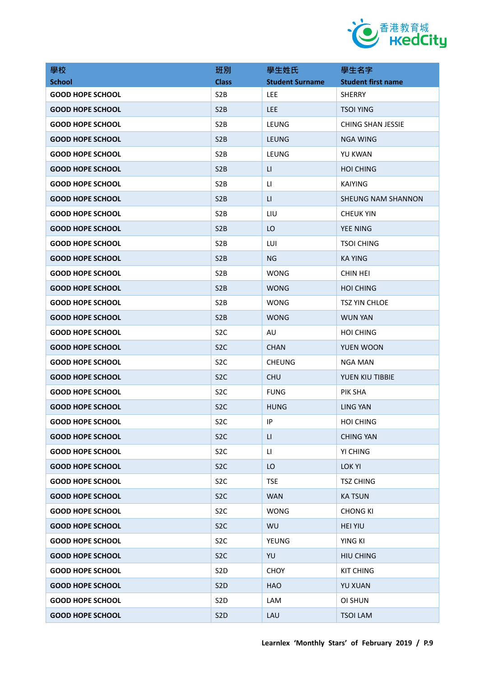

| 學校                      | 班別               | 學生姓氏                   | 學生名字                      |
|-------------------------|------------------|------------------------|---------------------------|
| <b>School</b>           | <b>Class</b>     | <b>Student Surname</b> | <b>Student first name</b> |
| <b>GOOD HOPE SCHOOL</b> | S <sub>2</sub> B | <b>LEE</b>             | SHERRY                    |
| <b>GOOD HOPE SCHOOL</b> | S <sub>2</sub> B | <b>LEE</b>             | <b>TSOI YING</b>          |
| <b>GOOD HOPE SCHOOL</b> | S <sub>2</sub> B | LEUNG                  | <b>CHING SHAN JESSIE</b>  |
| <b>GOOD HOPE SCHOOL</b> | S <sub>2</sub> B | <b>LEUNG</b>           | <b>NGA WING</b>           |
| <b>GOOD HOPE SCHOOL</b> | S <sub>2</sub> B | LEUNG                  | YU KWAN                   |
| <b>GOOD HOPE SCHOOL</b> | S <sub>2</sub> B | LI                     | <b>HOI CHING</b>          |
| <b>GOOD HOPE SCHOOL</b> | S <sub>2</sub> B | П                      | <b>KAIYING</b>            |
| <b>GOOD HOPE SCHOOL</b> | S <sub>2</sub> B | LI.                    | <b>SHEUNG NAM SHANNON</b> |
| <b>GOOD HOPE SCHOOL</b> | S <sub>2</sub> B | LIU                    | <b>CHEUK YIN</b>          |
| <b>GOOD HOPE SCHOOL</b> | S <sub>2</sub> B | LO                     | <b>YEE NING</b>           |
| <b>GOOD HOPE SCHOOL</b> | S <sub>2</sub> B | LUI                    | <b>TSOI CHING</b>         |
| <b>GOOD HOPE SCHOOL</b> | S <sub>2</sub> B | <b>NG</b>              | <b>KA YING</b>            |
| <b>GOOD HOPE SCHOOL</b> | S <sub>2</sub> B | <b>WONG</b>            | CHIN HEI                  |
| <b>GOOD HOPE SCHOOL</b> | S <sub>2</sub> B | <b>WONG</b>            | <b>HOI CHING</b>          |
| <b>GOOD HOPE SCHOOL</b> | S <sub>2</sub> B | <b>WONG</b>            | <b>TSZ YIN CHLOE</b>      |
| <b>GOOD HOPE SCHOOL</b> | S <sub>2</sub> B | <b>WONG</b>            | <b>WUN YAN</b>            |
| <b>GOOD HOPE SCHOOL</b> | S <sub>2</sub> C | AU                     | <b>HOI CHING</b>          |
| <b>GOOD HOPE SCHOOL</b> | S <sub>2</sub> C | <b>CHAN</b>            | YUEN WOON                 |
| <b>GOOD HOPE SCHOOL</b> | S <sub>2</sub> C | <b>CHEUNG</b>          | <b>NGA MAN</b>            |
| <b>GOOD HOPE SCHOOL</b> | S <sub>2</sub> C | <b>CHU</b>             | YUEN KIU TIBBIE           |
| <b>GOOD HOPE SCHOOL</b> | S <sub>2</sub> C | <b>FUNG</b>            | PIK SHA                   |
| <b>GOOD HOPE SCHOOL</b> | S <sub>2</sub> C | <b>HUNG</b>            | <b>LING YAN</b>           |
| <b>GOOD HOPE SCHOOL</b> | S <sub>2</sub> C | IP                     | <b>HOI CHING</b>          |
| <b>GOOD HOPE SCHOOL</b> | S <sub>2</sub> C | LI.                    | <b>CHING YAN</b>          |
| <b>GOOD HOPE SCHOOL</b> | S <sub>2</sub> C | П                      | YI CHING                  |
| <b>GOOD HOPE SCHOOL</b> | S <sub>2</sub> C | LO                     | <b>LOK YI</b>             |
| <b>GOOD HOPE SCHOOL</b> | S <sub>2</sub> C | <b>TSE</b>             | <b>TSZ CHING</b>          |
| <b>GOOD HOPE SCHOOL</b> | S <sub>2</sub> C | <b>WAN</b>             | <b>KATSUN</b>             |
| <b>GOOD HOPE SCHOOL</b> | S <sub>2</sub> C | <b>WONG</b>            | <b>CHONG KI</b>           |
| <b>GOOD HOPE SCHOOL</b> | S <sub>2</sub> C | WU                     | <b>HEI YIU</b>            |
| <b>GOOD HOPE SCHOOL</b> | S <sub>2</sub> C | YEUNG                  | YING KI                   |
| <b>GOOD HOPE SCHOOL</b> | S <sub>2</sub> C | YU                     | <b>HIU CHING</b>          |
| <b>GOOD HOPE SCHOOL</b> | S <sub>2</sub> D | <b>CHOY</b>            | <b>KIT CHING</b>          |
| <b>GOOD HOPE SCHOOL</b> | S <sub>2</sub> D | HAO                    | <b>YU XUAN</b>            |
| <b>GOOD HOPE SCHOOL</b> | S <sub>2</sub> D | LAM                    | OI SHUN                   |
| <b>GOOD HOPE SCHOOL</b> | S <sub>2</sub> D | LAU                    | <b>TSOI LAM</b>           |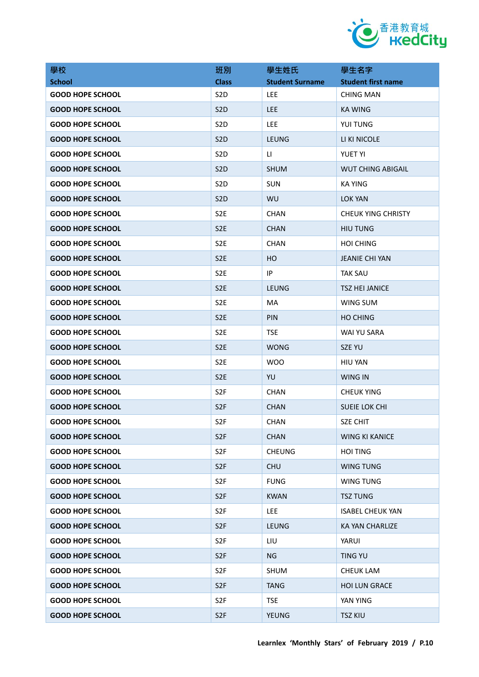

| 學校                      | 班別               | 學生姓氏                   | 學生名字                      |
|-------------------------|------------------|------------------------|---------------------------|
| <b>School</b>           | <b>Class</b>     | <b>Student Surname</b> | <b>Student first name</b> |
| <b>GOOD HOPE SCHOOL</b> | S <sub>2</sub> D | <b>LEE</b>             | <b>CHING MAN</b>          |
| <b>GOOD HOPE SCHOOL</b> | S <sub>2</sub> D | <b>LEE</b>             | <b>KA WING</b>            |
| <b>GOOD HOPE SCHOOL</b> | S <sub>2</sub> D | <b>LEE</b>             | YUI TUNG                  |
| <b>GOOD HOPE SCHOOL</b> | S <sub>2</sub> D | LEUNG                  | LI KI NICOLE              |
| <b>GOOD HOPE SCHOOL</b> | S <sub>2</sub> D | LI.                    | <b>YUET YI</b>            |
| <b>GOOD HOPE SCHOOL</b> | S <sub>2</sub> D | <b>SHUM</b>            | <b>WUT CHING ABIGAIL</b>  |
| <b>GOOD HOPE SCHOOL</b> | S <sub>2</sub> D | <b>SUN</b>             | <b>KA YING</b>            |
| <b>GOOD HOPE SCHOOL</b> | S <sub>2</sub> D | WU                     | LOK YAN                   |
| <b>GOOD HOPE SCHOOL</b> | S <sub>2</sub> E | <b>CHAN</b>            | <b>CHEUK YING CHRISTY</b> |
| <b>GOOD HOPE SCHOOL</b> | S <sub>2</sub> E | <b>CHAN</b>            | <b>HIU TUNG</b>           |
| <b>GOOD HOPE SCHOOL</b> | S <sub>2</sub> E | <b>CHAN</b>            | <b>HOI CHING</b>          |
| <b>GOOD HOPE SCHOOL</b> | S <sub>2</sub> E | HO.                    | <b>JEANIE CHI YAN</b>     |
| <b>GOOD HOPE SCHOOL</b> | S <sub>2</sub> E | IP                     | <b>TAK SAU</b>            |
| <b>GOOD HOPE SCHOOL</b> | S <sub>2</sub> E | LEUNG                  | <b>TSZ HEI JANICE</b>     |
| <b>GOOD HOPE SCHOOL</b> | S <sub>2E</sub>  | MA                     | WING SUM                  |
| <b>GOOD HOPE SCHOOL</b> | S <sub>2</sub> E | PIN                    | <b>HO CHING</b>           |
| <b>GOOD HOPE SCHOOL</b> | S <sub>2E</sub>  | <b>TSE</b>             | WAI YU SARA               |
| <b>GOOD HOPE SCHOOL</b> | S <sub>2</sub> E | <b>WONG</b>            | SZE YU                    |
| <b>GOOD HOPE SCHOOL</b> | S <sub>2</sub> E | <b>WOO</b>             | <b>HIU YAN</b>            |
| <b>GOOD HOPE SCHOOL</b> | S <sub>2E</sub>  | YU                     | <b>WING IN</b>            |
| <b>GOOD HOPE SCHOOL</b> | S <sub>2F</sub>  | <b>CHAN</b>            | <b>CHEUK YING</b>         |
| <b>GOOD HOPE SCHOOL</b> | S <sub>2F</sub>  | <b>CHAN</b>            | SUEIE LOK CHI             |
| <b>GOOD HOPE SCHOOL</b> | S <sub>2F</sub>  | <b>CHAN</b>            | SZE CHIT                  |
| <b>GOOD HOPE SCHOOL</b> | S <sub>2F</sub>  | <b>CHAN</b>            | <b>WING KI KANICE</b>     |
| <b>GOOD HOPE SCHOOL</b> | S <sub>2F</sub>  | <b>CHEUNG</b>          | <b>HOI TING</b>           |
| <b>GOOD HOPE SCHOOL</b> | S <sub>2F</sub>  | <b>CHU</b>             | <b>WING TUNG</b>          |
| <b>GOOD HOPE SCHOOL</b> | S <sub>2F</sub>  | <b>FUNG</b>            | WING TUNG                 |
| <b>GOOD HOPE SCHOOL</b> | S <sub>2F</sub>  | <b>KWAN</b>            | <b>TSZ TUNG</b>           |
| <b>GOOD HOPE SCHOOL</b> | S <sub>2F</sub>  | LEE                    | <b>ISABEL CHEUK YAN</b>   |
| <b>GOOD HOPE SCHOOL</b> | S <sub>2F</sub>  | <b>LEUNG</b>           | KA YAN CHARLIZE           |
| <b>GOOD HOPE SCHOOL</b> | S <sub>2F</sub>  | LIU                    | YARUI                     |
| <b>GOOD HOPE SCHOOL</b> | S <sub>2F</sub>  | NG                     | <b>TING YU</b>            |
| <b>GOOD HOPE SCHOOL</b> | S <sub>2F</sub>  | <b>SHUM</b>            | <b>CHEUK LAM</b>          |
| <b>GOOD HOPE SCHOOL</b> | S <sub>2F</sub>  | <b>TANG</b>            | <b>HOI LUN GRACE</b>      |
| <b>GOOD HOPE SCHOOL</b> | S <sub>2F</sub>  | <b>TSE</b>             | YAN YING                  |
| <b>GOOD HOPE SCHOOL</b> | S <sub>2F</sub>  | YEUNG                  | <b>TSZ KIU</b>            |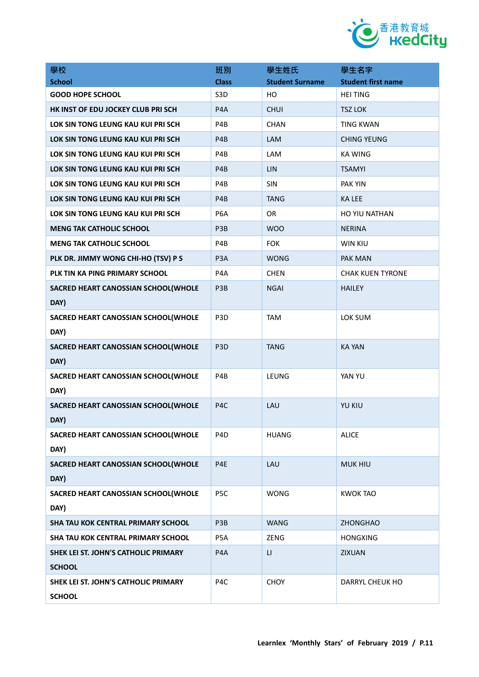

| 學校                                          | 班別               | 學生姓氏                   | 學生名字                      |
|---------------------------------------------|------------------|------------------------|---------------------------|
| <b>School</b>                               | <b>Class</b>     | <b>Student Surname</b> | <b>Student first name</b> |
| <b>GOOD HOPE SCHOOL</b>                     | S <sub>3</sub> D | HO                     | <b>HEI TING</b>           |
| HK INST OF EDU JOCKEY CLUB PRI SCH          | P4A              | <b>CHUI</b>            | <b>TSZ LOK</b>            |
| LOK SIN TONG LEUNG KAU KUI PRI SCH          | P4B              | <b>CHAN</b>            | <b>TING KWAN</b>          |
| LOK SIN TONG LEUNG KAU KUI PRI SCH          | P4B              | LAM                    | <b>CHING YEUNG</b>        |
| LOK SIN TONG LEUNG KAU KUI PRI SCH          | P4B              | LAM                    | <b>KA WING</b>            |
| LOK SIN TONG LEUNG KAU KUI PRI SCH          | P4B              | LIN                    | <b>TSAMYI</b>             |
| LOK SIN TONG LEUNG KAU KUI PRI SCH          | P4B              | <b>SIN</b>             | <b>PAK YIN</b>            |
| LOK SIN TONG LEUNG KAU KUI PRI SCH          | P4B              | <b>TANG</b>            | <b>KA LEE</b>             |
| LOK SIN TONG LEUNG KAU KUI PRI SCH          | P6A              | OR                     | HO YIU NATHAN             |
| <b>MENG TAK CATHOLIC SCHOOL</b>             | P3B              | <b>WOO</b>             | <b>NERINA</b>             |
| <b>MENG TAK CATHOLIC SCHOOL</b>             | P4B              | <b>FOK</b>             | <b>WIN KIU</b>            |
| PLK DR. JIMMY WONG CHI-HO (TSV) P S         | P <sub>3</sub> A | <b>WONG</b>            | <b>PAK MAN</b>            |
| PLK TIN KA PING PRIMARY SCHOOL              | P <sub>4</sub> A | <b>CHEN</b>            | <b>CHAK KUEN TYRONE</b>   |
| SACRED HEART CANOSSIAN SCHOOL(WHOLE         | P3B              | <b>NGAI</b>            | <b>HAILEY</b>             |
| DAY)                                        |                  |                        |                           |
| SACRED HEART CANOSSIAN SCHOOL(WHOLE<br>DAY) | P <sub>3</sub> D | <b>TAM</b>             | LOK SUM                   |
| SACRED HEART CANOSSIAN SCHOOL(WHOLE         | P <sub>3</sub> D | <b>TANG</b>            | <b>KA YAN</b>             |
| DAY)                                        |                  |                        |                           |
| SACRED HEART CANOSSIAN SCHOOL(WHOLE         | P4B              | LEUNG                  | YAN YU                    |
| DAY)                                        |                  |                        |                           |
| SACRED HEART CANOSSIAN SCHOOL(WHOLE         | P4C              | LAU                    | <b>YU KIU</b>             |
| DAY)                                        |                  |                        |                           |
| SACRED HEART CANOSSIAN SCHOOL(WHOLE         | P4D              | <b>HUANG</b>           | <b>ALICE</b>              |
| DAY)                                        |                  |                        |                           |
| SACRED HEART CANOSSIAN SCHOOL(WHOLE         | P4E              | LAU                    | <b>MUK HIU</b>            |
| DAY)                                        |                  |                        |                           |
| SACRED HEART CANOSSIAN SCHOOL(WHOLE         | P5C              | <b>WONG</b>            | <b>KWOK TAO</b>           |
| DAY)                                        |                  |                        |                           |
| SHA TAU KOK CENTRAL PRIMARY SCHOOL          | P3B              | <b>WANG</b>            | <b>ZHONGHAO</b>           |
| SHA TAU KOK CENTRAL PRIMARY SCHOOL          | P5A              | ZENG                   | <b>HONGXING</b>           |
| SHEK LEI ST. JOHN'S CATHOLIC PRIMARY        | P4A              | $\mathsf{L}\mathsf{I}$ | <b>ZIXUAN</b>             |
| <b>SCHOOL</b>                               |                  |                        |                           |
| SHEK LEI ST. JOHN'S CATHOLIC PRIMARY        | P4C              | <b>CHOY</b>            | DARRYL CHEUK HO           |
| <b>SCHOOL</b>                               |                  |                        |                           |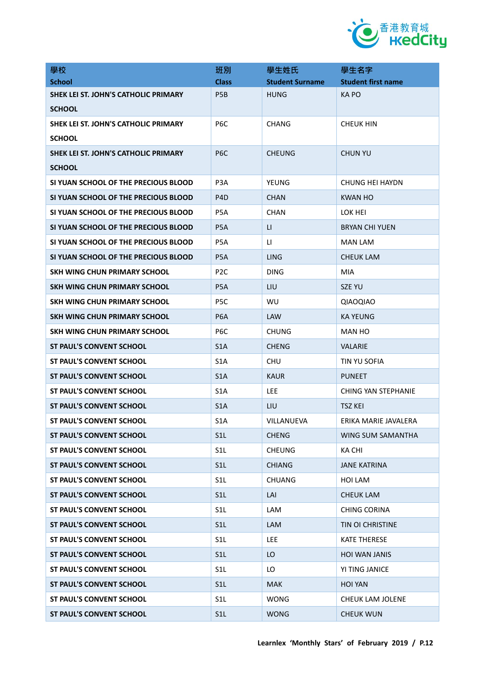

| 學校                                          | 班別               | 學生姓氏                   | 學生名字                       |
|---------------------------------------------|------------------|------------------------|----------------------------|
| <b>School</b>                               | <b>Class</b>     | <b>Student Surname</b> | <b>Student first name</b>  |
| SHEK LEI ST. JOHN'S CATHOLIC PRIMARY        | P <sub>5</sub> B | <b>HUNG</b>            | <b>KAPO</b>                |
| <b>SCHOOL</b>                               |                  |                        |                            |
| SHEK LEI ST. JOHN'S CATHOLIC PRIMARY        | P <sub>6</sub> C | <b>CHANG</b>           | <b>CHEUK HIN</b>           |
| <b>SCHOOL</b>                               |                  |                        |                            |
| <b>SHEK LEI ST. JOHN'S CATHOLIC PRIMARY</b> | P <sub>6</sub> C | <b>CHEUNG</b>          | <b>CHUN YU</b>             |
| <b>SCHOOL</b>                               |                  |                        |                            |
| SI YUAN SCHOOL OF THE PRECIOUS BLOOD        | P <sub>3</sub> A | YEUNG                  | <b>CHUNG HEI HAYDN</b>     |
| SI YUAN SCHOOL OF THE PRECIOUS BLOOD        | P <sub>4</sub> D | <b>CHAN</b>            | <b>KWAN HO</b>             |
| SI YUAN SCHOOL OF THE PRECIOUS BLOOD        | P <sub>5</sub> A | <b>CHAN</b>            | LOK HEI                    |
| SI YUAN SCHOOL OF THE PRECIOUS BLOOD        | P <sub>5</sub> A | $\mathsf{L}$           | <b>BRYAN CHI YUEN</b>      |
| SI YUAN SCHOOL OF THE PRECIOUS BLOOD        | P <sub>5</sub> A | LI.                    | <b>MAN LAM</b>             |
| SI YUAN SCHOOL OF THE PRECIOUS BLOOD        | P <sub>5</sub> A | LING                   | <b>CHEUK LAM</b>           |
| SKH WING CHUN PRIMARY SCHOOL                | P <sub>2C</sub>  | <b>DING</b>            | MIA                        |
| SKH WING CHUN PRIMARY SCHOOL                | P <sub>5</sub> A | LIU                    | <b>SZE YU</b>              |
| SKH WING CHUN PRIMARY SCHOOL                | P5C              | WU                     | QIAOQIAO                   |
| SKH WING CHUN PRIMARY SCHOOL                | P <sub>6</sub> A | <b>LAW</b>             | <b>KA YEUNG</b>            |
| SKH WING CHUN PRIMARY SCHOOL                | P6C              | <b>CHUNG</b>           | MAN HO                     |
| ST PAUL'S CONVENT SCHOOL                    | S1A              | <b>CHENG</b>           | <b>VALARIE</b>             |
| ST PAUL'S CONVENT SCHOOL                    | S <sub>1</sub> A | CHU                    | TIN YU SOFIA               |
| ST PAUL'S CONVENT SCHOOL                    | S <sub>1</sub> A | <b>KAUR</b>            | <b>PUNEET</b>              |
| <b>ST PAUL'S CONVENT SCHOOL</b>             | S <sub>1</sub> A | <b>LEE</b>             | <b>CHING YAN STEPHANIE</b> |
| <b>ST PAUL'S CONVENT SCHOOL</b>             | S <sub>1</sub> A | LIU                    | <b>TSZ KEI</b>             |
| ST PAUL'S CONVENT SCHOOL                    | S1A              | VILLANUEVA             | ERIKA MARIE JAVALERA       |
| <b>ST PAUL'S CONVENT SCHOOL</b>             | S1L              | <b>CHENG</b>           | WING SUM SAMANTHA          |
| <b>ST PAUL'S CONVENT SCHOOL</b>             | S <sub>1</sub> L | CHEUNG                 | KA CHI                     |
| <b>ST PAUL'S CONVENT SCHOOL</b>             | S1L              | <b>CHIANG</b>          | <b>JANE KATRINA</b>        |
| <b>ST PAUL'S CONVENT SCHOOL</b>             | S <sub>1</sub> L | <b>CHUANG</b>          | HOI LAM                    |
| <b>ST PAUL'S CONVENT SCHOOL</b>             | S1L              | LAI                    | <b>CHEUK LAM</b>           |
| <b>ST PAUL'S CONVENT SCHOOL</b>             | S <sub>1</sub> L | LAM                    | <b>CHING CORINA</b>        |
| <b>ST PAUL'S CONVENT SCHOOL</b>             | S <sub>1</sub> L | LAM                    | <b>TIN OI CHRISTINE</b>    |
| <b>ST PAUL'S CONVENT SCHOOL</b>             | S <sub>1</sub> L | <b>LEE</b>             | <b>KATE THERESE</b>        |
| <b>ST PAUL'S CONVENT SCHOOL</b>             | S1L              | LO                     | <b>HOI WAN JANIS</b>       |
| <b>ST PAUL'S CONVENT SCHOOL</b>             | S <sub>1</sub> L | LO                     | YI TING JANICE             |
| <b>ST PAUL'S CONVENT SCHOOL</b>             | S1L              | <b>MAK</b>             | <b>HOI YAN</b>             |
| <b>ST PAUL'S CONVENT SCHOOL</b>             | S <sub>1</sub> L | <b>WONG</b>            | CHEUK LAM JOLENE           |
| ST PAUL'S CONVENT SCHOOL                    | S <sub>1</sub> L | <b>WONG</b>            | <b>CHEUK WUN</b>           |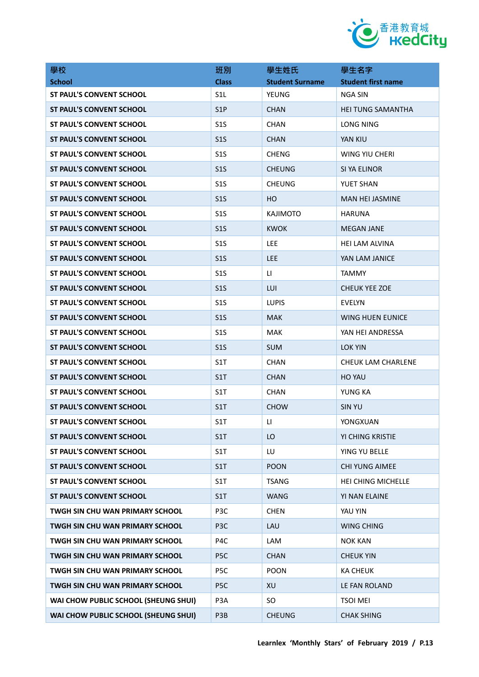

| 學校                                     | 班別               | 學生姓氏                   | 學生名字                      |
|----------------------------------------|------------------|------------------------|---------------------------|
| <b>School</b>                          | <b>Class</b>     | <b>Student Surname</b> | <b>Student first name</b> |
| ST PAUL'S CONVENT SCHOOL               | S <sub>1</sub> L | YEUNG                  | NGA SIN                   |
| <b>ST PAUL'S CONVENT SCHOOL</b>        | S <sub>1</sub> P | <b>CHAN</b>            | <b>HEI TUNG SAMANTHA</b>  |
| ST PAUL'S CONVENT SCHOOL               | S <sub>15</sub>  | <b>CHAN</b>            | LONG NING                 |
| <b>ST PAUL'S CONVENT SCHOOL</b>        | S <sub>15</sub>  | <b>CHAN</b>            | YAN KIU                   |
| <b>ST PAUL'S CONVENT SCHOOL</b>        | S <sub>15</sub>  | <b>CHENG</b>           | WING YIU CHERI            |
| <b>ST PAUL'S CONVENT SCHOOL</b>        | S <sub>15</sub>  | <b>CHEUNG</b>          | SI YA ELINOR              |
| <b>ST PAUL'S CONVENT SCHOOL</b>        | S <sub>15</sub>  | <b>CHEUNG</b>          | <b>YUET SHAN</b>          |
| <b>ST PAUL'S CONVENT SCHOOL</b>        | S <sub>15</sub>  | HО                     | <b>MAN HEI JASMINE</b>    |
| <b>ST PAUL'S CONVENT SCHOOL</b>        | S <sub>15</sub>  | <b>KAJIMOTO</b>        | <b>HARUNA</b>             |
| <b>ST PAUL'S CONVENT SCHOOL</b>        | S <sub>15</sub>  | <b>KWOK</b>            | <b>MEGAN JANE</b>         |
| <b>ST PAUL'S CONVENT SCHOOL</b>        | S <sub>1</sub> S | <b>LEE</b>             | <b>HEI LAM ALVINA</b>     |
| <b>ST PAUL'S CONVENT SCHOOL</b>        | S <sub>15</sub>  | <b>LEE</b>             | YAN LAM JANICE            |
| ST PAUL'S CONVENT SCHOOL               | S <sub>15</sub>  | LI.                    | <b>TAMMY</b>              |
| ST PAUL'S CONVENT SCHOOL               | S <sub>15</sub>  | LUI                    | <b>CHEUK YEE ZOE</b>      |
| <b>ST PAUL'S CONVENT SCHOOL</b>        | S <sub>15</sub>  | <b>LUPIS</b>           | <b>EVELYN</b>             |
| <b>ST PAUL'S CONVENT SCHOOL</b>        | S <sub>15</sub>  | <b>MAK</b>             | <b>WING HUEN EUNICE</b>   |
| <b>ST PAUL'S CONVENT SCHOOL</b>        | S <sub>15</sub>  | <b>MAK</b>             | YAN HEI ANDRESSA          |
| <b>ST PAUL'S CONVENT SCHOOL</b>        | S <sub>15</sub>  | <b>SUM</b>             | LOK YIN                   |
| ST PAUL'S CONVENT SCHOOL               | S1T              | <b>CHAN</b>            | CHEUK LAM CHARLENE        |
| <b>ST PAUL'S CONVENT SCHOOL</b>        | S1T              | <b>CHAN</b>            | <b>HO YAU</b>             |
| <b>ST PAUL'S CONVENT SCHOOL</b>        | S1T              | <b>CHAN</b>            | YUNG KA                   |
| <b>ST PAUL'S CONVENT SCHOOL</b>        | S <sub>1</sub> T | <b>CHOW</b>            | <b>SIN YU</b>             |
| <b>ST PAUL'S CONVENT SCHOOL</b>        | S1T              | LI.                    | YONGXUAN                  |
| <b>ST PAUL'S CONVENT SCHOOL</b>        | S1T              | LO                     | YI CHING KRISTIE          |
| ST PAUL'S CONVENT SCHOOL               | S1T              | LU                     | YING YU BELLE             |
| <b>ST PAUL'S CONVENT SCHOOL</b>        | S1T              | <b>POON</b>            | <b>CHI YUNG AIMEE</b>     |
| <b>ST PAUL'S CONVENT SCHOOL</b>        | S1T              | <b>TSANG</b>           | HEI CHING MICHELLE        |
| ST PAUL'S CONVENT SCHOOL               | S1T              | <b>WANG</b>            | YI NAN ELAINE             |
| TWGH SIN CHU WAN PRIMARY SCHOOL        | P3C              | <b>CHEN</b>            | YAU YIN                   |
| <b>TWGH SIN CHU WAN PRIMARY SCHOOL</b> | P <sub>3</sub> C | LAU                    | <b>WING CHING</b>         |
| TWGH SIN CHU WAN PRIMARY SCHOOL        | P4C              | LAM                    | <b>NOK KAN</b>            |
| TWGH SIN CHU WAN PRIMARY SCHOOL        | P <sub>5</sub> C | <b>CHAN</b>            | <b>CHEUK YIN</b>          |
| <b>TWGH SIN CHU WAN PRIMARY SCHOOL</b> | P5C              | <b>POON</b>            | <b>KA CHEUK</b>           |
| TWGH SIN CHU WAN PRIMARY SCHOOL        | P <sub>5</sub> C | XU                     | LE FAN ROLAND             |
| WAI CHOW PUBLIC SCHOOL (SHEUNG SHUI)   | P3A              | SO.                    | <b>TSOI MEI</b>           |
| WAI CHOW PUBLIC SCHOOL (SHEUNG SHUI)   | P3B              | <b>CHEUNG</b>          | <b>CHAK SHING</b>         |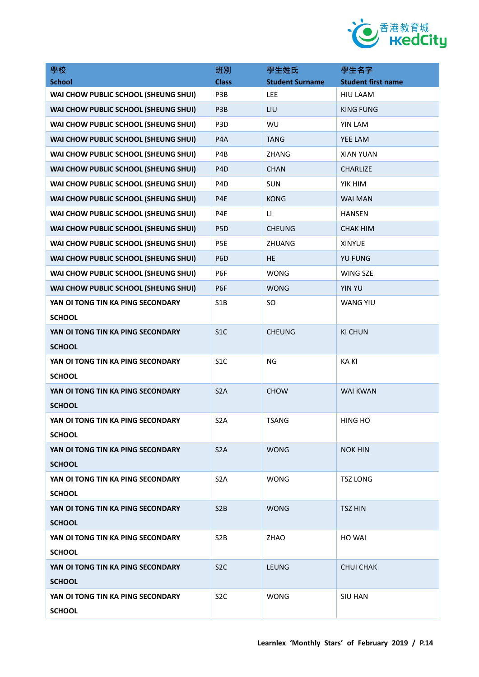

| 學校                                   | 班別               | 學生姓氏                   | 學生名字                      |
|--------------------------------------|------------------|------------------------|---------------------------|
| <b>School</b>                        | <b>Class</b>     | <b>Student Surname</b> | <b>Student first name</b> |
| WAI CHOW PUBLIC SCHOOL (SHEUNG SHUI) | P3B              | LEE                    | <b>HIU LAAM</b>           |
| WAI CHOW PUBLIC SCHOOL (SHEUNG SHUI) | P3B              | LIU                    | <b>KING FUNG</b>          |
| WAI CHOW PUBLIC SCHOOL (SHEUNG SHUI) | P <sub>3</sub> D | WU                     | YIN LAM                   |
| WAI CHOW PUBLIC SCHOOL (SHEUNG SHUI) | P4A              | <b>TANG</b>            | YEE LAM                   |
| WAI CHOW PUBLIC SCHOOL (SHEUNG SHUI) | P4B              | <b>ZHANG</b>           | <b>XIAN YUAN</b>          |
| WAI CHOW PUBLIC SCHOOL (SHEUNG SHUI) | P <sub>4</sub> D | <b>CHAN</b>            | <b>CHARLIZE</b>           |
| WAI CHOW PUBLIC SCHOOL (SHEUNG SHUI) | P <sub>4</sub> D | <b>SUN</b>             | YIK HIM                   |
| WAI CHOW PUBLIC SCHOOL (SHEUNG SHUI) | P4E              | <b>KONG</b>            | <b>WAI MAN</b>            |
| WAI CHOW PUBLIC SCHOOL (SHEUNG SHUI) | P4E              | LI.                    | <b>HANSEN</b>             |
| WAI CHOW PUBLIC SCHOOL (SHEUNG SHUI) | P <sub>5</sub> D | <b>CHEUNG</b>          | <b>CHAK HIM</b>           |
| WAI CHOW PUBLIC SCHOOL (SHEUNG SHUI) | P5E              | ZHUANG                 | <b>XINYUE</b>             |
| WAI CHOW PUBLIC SCHOOL (SHEUNG SHUI) | P <sub>6</sub> D | <b>HE</b>              | <b>YU FUNG</b>            |
| WAI CHOW PUBLIC SCHOOL (SHEUNG SHUI) | P6F              | <b>WONG</b>            | WING SZE                  |
| WAI CHOW PUBLIC SCHOOL (SHEUNG SHUI) | P6F              | <b>WONG</b>            | <b>YIN YU</b>             |
| YAN OI TONG TIN KA PING SECONDARY    | S <sub>1</sub> B | SO                     | <b>WANG YIU</b>           |
| <b>SCHOOL</b>                        |                  |                        |                           |
| YAN OI TONG TIN KA PING SECONDARY    | S <sub>1</sub> C | <b>CHEUNG</b>          | <b>KI CHUN</b>            |
| <b>SCHOOL</b>                        |                  |                        |                           |
| YAN OI TONG TIN KA PING SECONDARY    | S <sub>1</sub> C | <b>NG</b>              | <b>KAKI</b>               |
| <b>SCHOOL</b>                        |                  |                        |                           |
| YAN OI TONG TIN KA PING SECONDARY    | S <sub>2</sub> A | <b>CHOW</b>            | <b>WAI KWAN</b>           |
| <b>SCHOOL</b>                        |                  |                        |                           |
| YAN OI TONG TIN KA PING SECONDARY    | S <sub>2</sub> A | <b>TSANG</b>           | <b>HING HO</b>            |
| <b>SCHOOL</b>                        |                  |                        |                           |
| YAN OI TONG TIN KA PING SECONDARY    | S <sub>2</sub> A | <b>WONG</b>            | <b>NOK HIN</b>            |
| <b>SCHOOL</b>                        |                  |                        |                           |
| YAN OI TONG TIN KA PING SECONDARY    | S <sub>2</sub> A | <b>WONG</b>            | <b>TSZ LONG</b>           |
| <b>SCHOOL</b>                        |                  |                        |                           |
| YAN OI TONG TIN KA PING SECONDARY    | S <sub>2</sub> B | <b>WONG</b>            | <b>TSZ HIN</b>            |
| <b>SCHOOL</b>                        |                  |                        |                           |
| YAN OI TONG TIN KA PING SECONDARY    | S <sub>2</sub> B | ZHAO                   | HO WAI                    |
| <b>SCHOOL</b>                        |                  |                        |                           |
| YAN OI TONG TIN KA PING SECONDARY    | S <sub>2</sub> C | LEUNG                  | <b>CHUI CHAK</b>          |
| <b>SCHOOL</b>                        |                  |                        |                           |
| YAN OI TONG TIN KA PING SECONDARY    | S <sub>2</sub> C | <b>WONG</b>            | <b>SIU HAN</b>            |
| <b>SCHOOL</b>                        |                  |                        |                           |